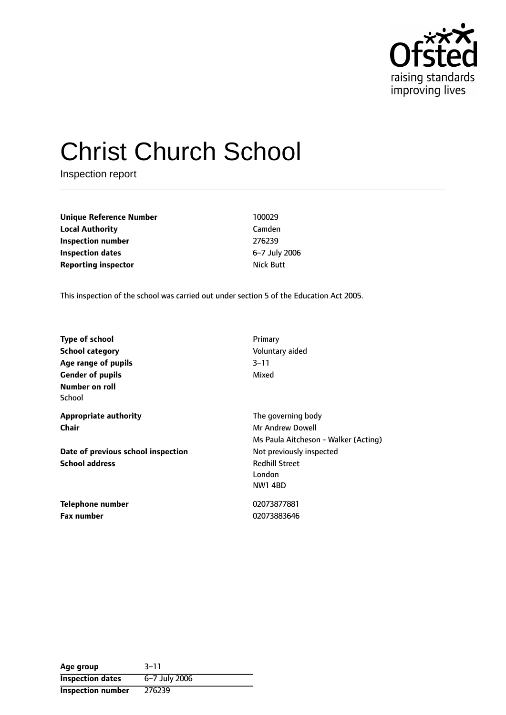

# Christ Church School

Inspection report

**Unique Reference Number** 100029 **Local Authority** Camden **Inspection number** 276239 **Inspection dates** 6-7 July 2006 **Reporting inspector Nick Butt** 

This inspection of the school was carried out under section 5 of the Education Act 2005.

| <b>Type of school</b><br><b>School category</b><br>Age range of pupils<br><b>Gender of pupils</b><br>Number on roll | Primary<br>Voluntary aided<br>$3 - 11$<br>Mixed                                       |
|---------------------------------------------------------------------------------------------------------------------|---------------------------------------------------------------------------------------|
| School                                                                                                              |                                                                                       |
| <b>Appropriate authority</b><br>Chair                                                                               | The governing body<br><b>Mr Andrew Dowell</b><br>Ms Paula Aitcheson - Walker (Acting) |
| Date of previous school inspection<br><b>School address</b>                                                         | Not previously inspected<br><b>Redhill Street</b><br>London<br><b>NW1 4BD</b>         |
| <b>Telephone number</b><br><b>Fax number</b>                                                                        | 02073877881<br>02073883646                                                            |

| Age group                | $3 - 11$      |
|--------------------------|---------------|
| <b>Inspection dates</b>  | 6-7 July 2006 |
| <b>Inspection number</b> | 276239        |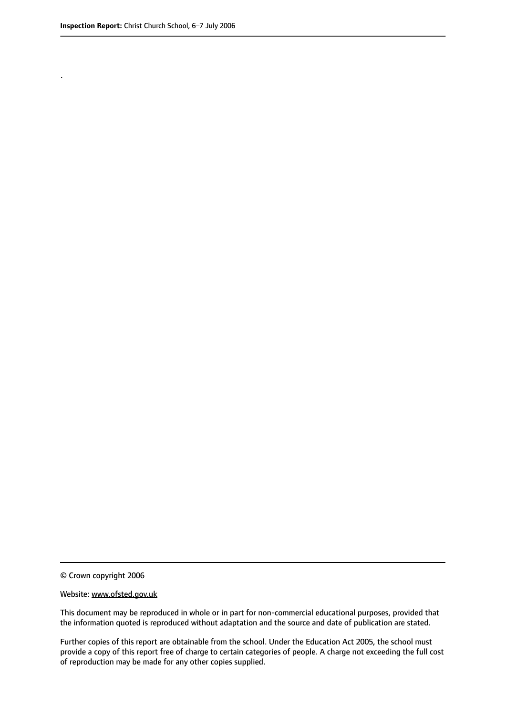.

© Crown copyright 2006

#### Website: www.ofsted.gov.uk

This document may be reproduced in whole or in part for non-commercial educational purposes, provided that the information quoted is reproduced without adaptation and the source and date of publication are stated.

Further copies of this report are obtainable from the school. Under the Education Act 2005, the school must provide a copy of this report free of charge to certain categories of people. A charge not exceeding the full cost of reproduction may be made for any other copies supplied.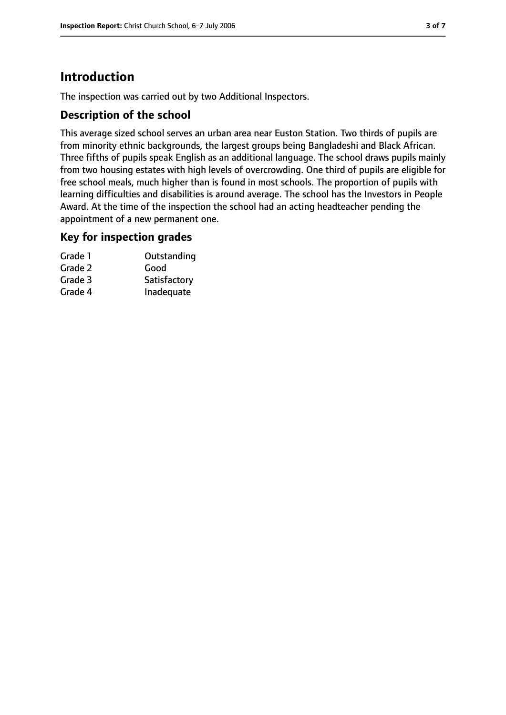## **Introduction**

The inspection was carried out by two Additional Inspectors.

## **Description of the school**

This average sized school serves an urban area near Euston Station. Two thirds of pupils are from minority ethnic backgrounds, the largest groups being Bangladeshi and Black African. Three fifths of pupils speak English as an additional language. The school draws pupils mainly from two housing estates with high levels of overcrowding. One third of pupils are eligible for free school meals, much higher than is found in most schools. The proportion of pupils with learning difficulties and disabilities is around average. The school has the Investors in People Award. At the time of the inspection the school had an acting headteacher pending the appointment of a new permanent one.

#### **Key for inspection grades**

| Grade 1 | Outstanding  |
|---------|--------------|
| Grade 2 | Good         |
| Grade 3 | Satisfactory |
| Grade 4 | Inadequate   |
|         |              |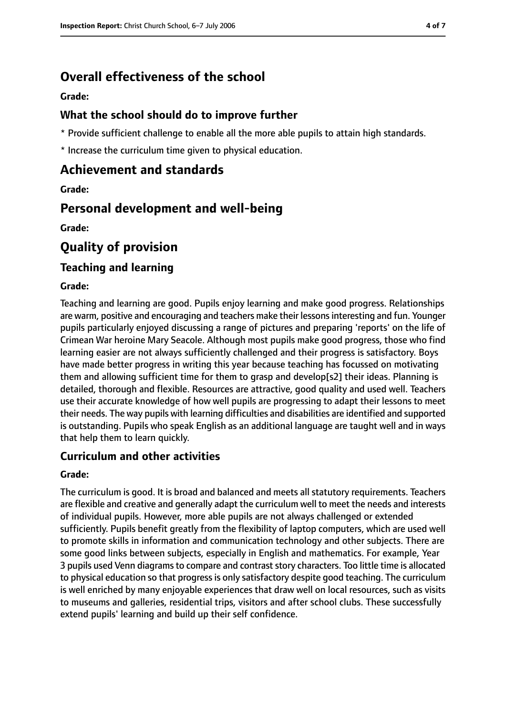## **Overall effectiveness of the school**

**Grade:**

#### **What the school should do to improve further**

\* Provide sufficient challenge to enable all the more able pupils to attain high standards.

\* Increase the curriculum time given to physical education.

## **Achievement and standards**

**Grade:**

## **Personal development and well-being**

**Grade:**

## **Quality of provision**

#### **Teaching and learning**

#### **Grade:**

Teaching and learning are good. Pupils enjoy learning and make good progress. Relationships are warm, positive and encouraging and teachers make their lessonsinteresting and fun. Younger pupils particularly enjoyed discussing a range of pictures and preparing 'reports' on the life of Crimean War heroine Mary Seacole. Although most pupils make good progress, those who find learning easier are not always sufficiently challenged and their progress is satisfactory. Boys have made better progress in writing this year because teaching has focussed on motivating them and allowing sufficient time for them to grasp and develop[s2] their ideas. Planning is detailed, thorough and flexible. Resources are attractive, good quality and used well. Teachers use their accurate knowledge of how well pupils are progressing to adapt their lessons to meet their needs. The way pupils with learning difficulties and disabilities are identified and supported is outstanding. Pupils who speak English as an additional language are taught well and in ways that help them to learn quickly.

## **Curriculum and other activities**

#### **Grade:**

The curriculum is good. It is broad and balanced and meets all statutory requirements. Teachers are flexible and creative and generally adapt the curriculum well to meet the needs and interests of individual pupils. However, more able pupils are not always challenged or extended sufficiently. Pupils benefit greatly from the flexibility of laptop computers, which are used well to promote skills in information and communication technology and other subjects. There are some good links between subjects, especially in English and mathematics. For example, Year 3 pupils used Venn diagrams to compare and contrast story characters. Too little time is allocated to physical education so that progressis only satisfactory despite good teaching. The curriculum is well enriched by many enjoyable experiences that draw well on local resources, such as visits to museums and galleries, residential trips, visitors and after school clubs. These successfully extend pupils' learning and build up their self confidence.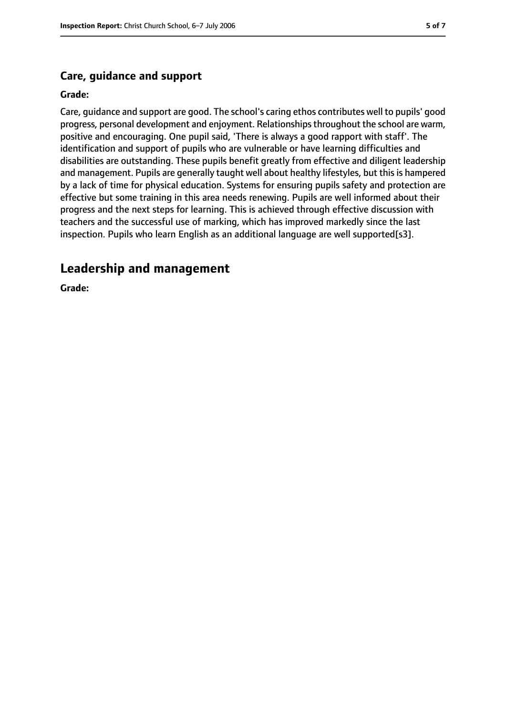## **Care, guidance and support**

#### **Grade:**

Care, guidance and support are good. The school's caring ethos contributes well to pupils' good progress, personal development and enjoyment. Relationships throughout the school are warm, positive and encouraging. One pupil said, 'There is always a good rapport with staff'. The identification and support of pupils who are vulnerable or have learning difficulties and disabilities are outstanding. These pupils benefit greatly from effective and diligent leadership and management. Pupils are generally taught well about healthy lifestyles, but this is hampered by a lack of time for physical education. Systems for ensuring pupils safety and protection are effective but some training in this area needs renewing. Pupils are well informed about their progress and the next steps for learning. This is achieved through effective discussion with teachers and the successful use of marking, which has improved markedly since the last inspection. Pupils who learn English as an additional language are well supported[s3].

## **Leadership and management**

**Grade:**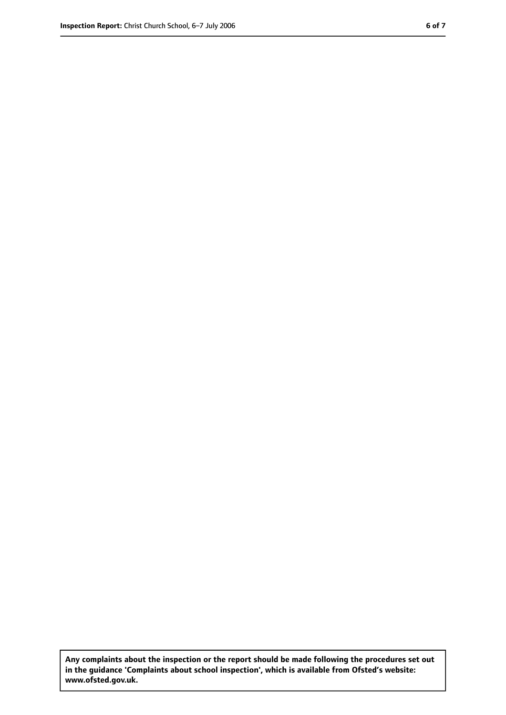**Any complaints about the inspection or the report should be made following the procedures set out in the guidance 'Complaints about school inspection', which is available from Ofsted's website: www.ofsted.gov.uk.**